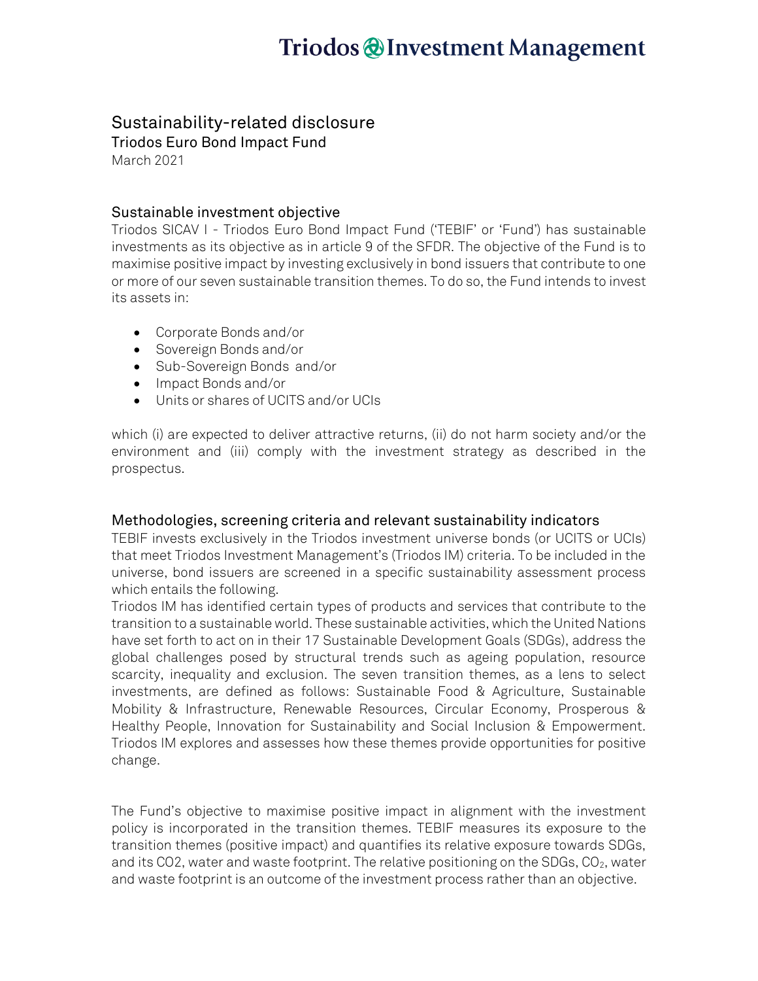## Triodos @Investment Management

### Sustainability-related disclosure

Triodos Euro Bond Impact Fund March 2021

### Sustainable investment objective

Triodos SICAV I - Triodos Euro Bond Impact Fund ('TEBIF' or 'Fund') has sustainable investments as its objective as in article 9 of the SFDR. The objective of the Fund is to maximise positive impact by investing exclusively in bond issuers that contribute to one or more of our seven sustainable transition themes. To do so, the Fund intends to invest its assets in:

- Corporate Bonds and/or
- Sovereign Bonds and/or
- Sub-Sovereign Bonds and/or
- Impact Bonds and/or
- Units or shares of UCITS and/or UCIs

which (i) are expected to deliver attractive returns, (ii) do not harm society and/or the environment and (iii) comply with the investment strategy as described in the prospectus.

### Methodologies, screening criteria and relevant sustainability indicators

TEBIF invests exclusively in the Triodos investment universe bonds (or UCITS or UCIs) that meet Triodos Investment Management's (Triodos IM) criteria. To be included in the universe, bond issuers are screened in a specific sustainability assessment process which entails the following.

Triodos IM has identified certain types of products and services that contribute to the transition to a sustainable world. These sustainable activities, which the United Nations have set forth to act on in their 17 Sustainable Development Goals (SDGs), address the global challenges posed by structural trends such as ageing population, resource scarcity, inequality and exclusion. The seven transition themes, as a lens to select investments, are defined as follows: Sustainable Food & Agriculture, Sustainable Mobility & Infrastructure, Renewable Resources, Circular Economy, Prosperous & Healthy People, Innovation for Sustainability and Social Inclusion & Empowerment. Triodos IM explores and assesses how these themes provide opportunities for positive change.

The Fund's objective to maximise positive impact in alignment with the investment policy is incorporated in the transition themes. TEBIF measures its exposure to the transition themes (positive impact) and quantifies its relative exposure towards SDGs, and its CO2, water and waste footprint. The relative positioning on the SDGs,  $CO<sub>2</sub>$ , water and waste footprint is an outcome of the investment process rather than an objective.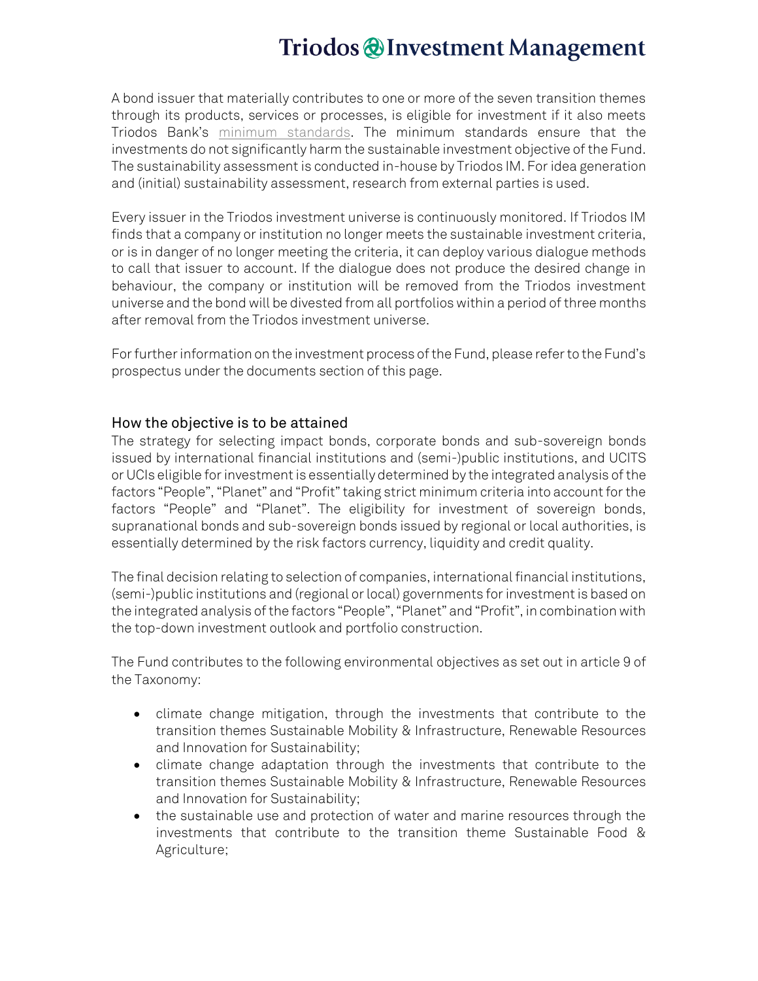## Triodos @Investment Management

A bond issuer that materially contributes to one or more of the seven transition themes through its products, services or processes, is eligible for investment if it also meets Triodos Bank's [minimum standards.](https://www.triodos-im.com/binaries/content/assets/shared/fund-assets/tpif/triodos-minimum-standards.pdf) The minimum standards ensure that the investments do not significantly harm the sustainable investment objective of the Fund. The sustainability assessment is conducted in-house by Triodos IM. For idea generation and (initial) sustainability assessment, research from external parties is used.

Every issuer in the Triodos investment universe is continuously monitored. If Triodos IM finds that a company or institution no longer meets the sustainable investment criteria, or is in danger of no longer meeting the criteria, it can deploy various dialogue methods to call that issuer to account. If the dialogue does not produce the desired change in behaviour, the company or institution will be removed from the Triodos investment universe and the bond will be divested from all portfolios within a period of three months after removal from the Triodos investment universe.

For further information on the investment process of the Fund, please refer to the Fund's prospectus under the documents section of this page.

#### How the objective is to be attained

The strategy for selecting impact bonds, corporate bonds and sub-sovereign bonds issued by international financial institutions and (semi-)public institutions, and UCITS or UCIs eligible for investment is essentially determined by the integrated analysis of the factors "People", "Planet" and "Profit" taking strict minimum criteria into account for the factors "People" and "Planet". The eligibility for investment of sovereign bonds, supranational bonds and sub-sovereign bonds issued by regional or local authorities, is essentially determined by the risk factors currency, liquidity and credit quality.

The final decision relating to selection of companies, international financial institutions, (semi-)public institutions and (regional or local) governments for investment is based on the integrated analysis of the factors "People", "Planet" and "Profit", in combination with the top-down investment outlook and portfolio construction.

The Fund contributes to the following environmental objectives as set out in article 9 of the Taxonomy:

- climate change mitigation, through the investments that contribute to the transition themes Sustainable Mobility & Infrastructure, Renewable Resources and Innovation for Sustainability;
- climate change adaptation through the investments that contribute to the transition themes Sustainable Mobility & Infrastructure, Renewable Resources and Innovation for Sustainability;
- the sustainable use and protection of water and marine resources through the investments that contribute to the transition theme Sustainable Food & Agriculture;